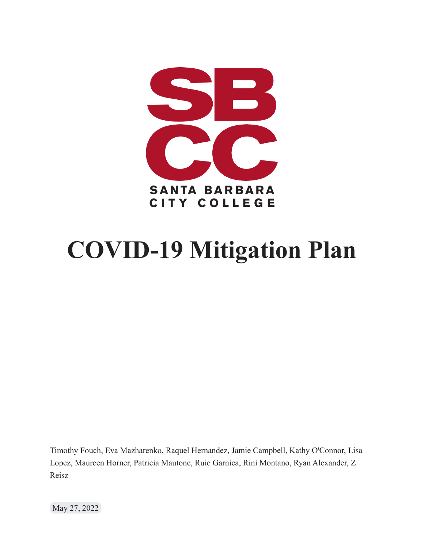

# **COVID-19 Mitigation Plan**

Timothy Fouch, Eva Mazharenko, Raquel Hernandez, Jamie Campbell, Kathy O'Connor, Lisa Lopez, Maureen Horner, Patricia Mautone, Ruie Garnica, Rini Montano, Ryan Alexander, Z Reisz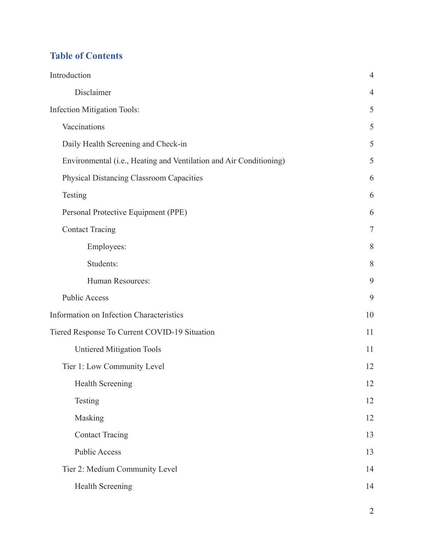# **Table of Contents**

| Introduction                                                       | $\overline{4}$ |  |
|--------------------------------------------------------------------|----------------|--|
| Disclaimer                                                         | $\overline{4}$ |  |
| <b>Infection Mitigation Tools:</b>                                 | 5              |  |
| Vaccinations                                                       | 5              |  |
| Daily Health Screening and Check-in                                | 5              |  |
| Environmental (i.e., Heating and Ventilation and Air Conditioning) | 5              |  |
| <b>Physical Distancing Classroom Capacities</b>                    | 6              |  |
| Testing                                                            | 6              |  |
| Personal Protective Equipment (PPE)                                | 6              |  |
| <b>Contact Tracing</b>                                             | $\tau$         |  |
| Employees:                                                         | 8              |  |
| Students:                                                          | 8              |  |
| Human Resources:                                                   | 9              |  |
| <b>Public Access</b>                                               | 9              |  |
| Information on Infection Characteristics                           | 10             |  |
| Tiered Response To Current COVID-19 Situation                      |                |  |
| <b>Untiered Mitigation Tools</b>                                   | 11             |  |
| Tier 1: Low Community Level                                        | 12             |  |
| <b>Health Screening</b>                                            | 12             |  |
| Testing                                                            | 12             |  |
| Masking                                                            | 12             |  |
| <b>Contact Tracing</b>                                             | 13             |  |
| <b>Public Access</b>                                               | 13             |  |
| Tier 2: Medium Community Level                                     | 14             |  |
| Health Screening                                                   | 14             |  |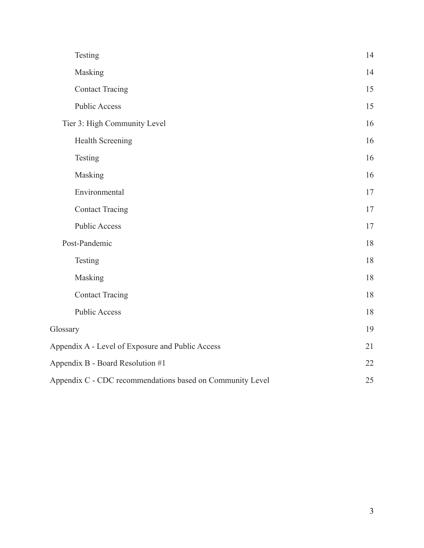| Testing                                                   | 14 |
|-----------------------------------------------------------|----|
| Masking                                                   | 14 |
| <b>Contact Tracing</b>                                    | 15 |
| <b>Public Access</b>                                      | 15 |
| Tier 3: High Community Level                              | 16 |
| Health Screening                                          | 16 |
| Testing                                                   | 16 |
| Masking                                                   | 16 |
| Environmental                                             | 17 |
| <b>Contact Tracing</b>                                    | 17 |
| <b>Public Access</b>                                      | 17 |
| Post-Pandemic                                             | 18 |
| Testing                                                   | 18 |
| Masking                                                   | 18 |
| <b>Contact Tracing</b>                                    | 18 |
| <b>Public Access</b>                                      | 18 |
| Glossary                                                  | 19 |
| Appendix A - Level of Exposure and Public Access          | 21 |
| Appendix B - Board Resolution #1                          | 22 |
| Appendix C - CDC recommendations based on Community Level |    |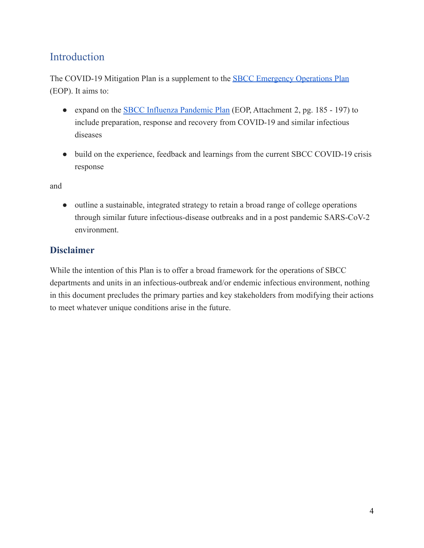# <span id="page-3-0"></span>Introduction

The COVID-19 Mitigation Plan is a supplement to the [SBCC Emergency Operations Plan](https://www.sbcc.edu/emergency/files/SBCC%20EOP%20ENTIRE%20DOC%202020%20v2%20without%20confidential%20phone%20numbers.pdf) (EOP). It aims to:

- expand on the **[SBCC Influenza Pandemic Plan](https://www.sbcc.edu/emergency/files/SBCC%20EOP%20ENTIRE%20DOC%202020%20v2%20without%20confidential%20phone%20numbers.pdf)** (EOP, Attachment 2, pg. 185 197) to include preparation, response and recovery from COVID-19 and similar infectious diseases
- build on the experience, feedback and learnings from the current SBCC COVID-19 crisis response

and

• outline a sustainable, integrated strategy to retain a broad range of college operations through similar future infectious-disease outbreaks and in a post pandemic SARS-CoV-2 environment.

## <span id="page-3-1"></span>**Disclaimer**

While the intention of this Plan is to offer a broad framework for the operations of SBCC departments and units in an infectious-outbreak and/or endemic infectious environment, nothing in this document precludes the primary parties and key stakeholders from modifying their actions to meet whatever unique conditions arise in the future.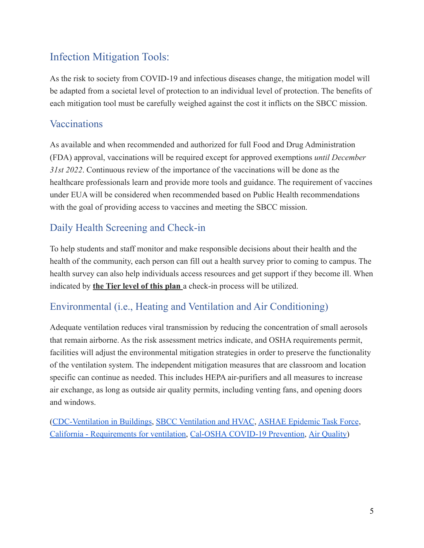# <span id="page-4-0"></span>Infection Mitigation Tools:

As the risk to society from COVID-19 and infectious diseases change, the mitigation model will be adapted from a societal level of protection to an individual level of protection. The benefits of each mitigation tool must be carefully weighed against the cost it inflicts on the SBCC mission.

## <span id="page-4-1"></span>**Vaccinations**

As available and when recommended and authorized for full Food and Drug Administration (FDA) approval, vaccinations will be required except for approved exemptions *until December 31st 2022*. Continuous review of the importance of the vaccinations will be done as the healthcare professionals learn and provide more tools and guidance. The requirement of vaccines under EUA will be considered when recommended based on Public Health recommendations with the goal of providing access to vaccines and meeting the SBCC mission.

## <span id="page-4-2"></span>Daily Health Screening and Check-in

To help students and staff monitor and make responsible decisions about their health and the health of the community, each person can fill out a health survey prior to coming to campus. The health survey can also help individuals access resources and get support if they become ill. When indicated by **the Tier level of this plan** a check-in process will be utilized.

## <span id="page-4-3"></span>Environmental (i.e., Heating and Ventilation and Air Conditioning)

Adequate ventilation reduces viral transmission by reducing the concentration of small aerosols that remain airborne. As the risk assessment metrics indicate, and OSHA requirements permit, facilities will adjust the environmental mitigation strategies in order to preserve the functionality of the ventilation system. The independent mitigation measures that are classroom and location specific can continue as needed. This includes HEPA air-purifiers and all measures to increase air exchange, as long as outside air quality permits, including venting fans, and opening doors and windows.

([CDC-Ventilation in Buildings](https://www.cdc.gov/coronavirus/2019-ncov/community/ventilation.html), [SBCC Ventilation and](https://www.sbcc.edu/businessservices/files/Ventilation%20and%20HVAC%20Airflow%20Study%20Reports%20July%202%202021%20presentation.pdf) HVAC, [ASHAE Epidemic Task Force](https://images.magnetmail.net/images/clients/ASHRAE/attach/ashrae_reopening_schools_and_universities_c19_guidance.pdf), [California - Requirements for ventilation,](https://energycodeace.com/site/custom/public/reference-ace-2016/index.html#!Documents/section1201requirementsforventilation.htm) Cal-OSHA [COVID-19 Prevention,](https://www.dir.ca.gov/title8/3205.html) [Air Quality\)](https://www.airnow.gov/?city=Santa%20Barbara&state=CA&country=USA)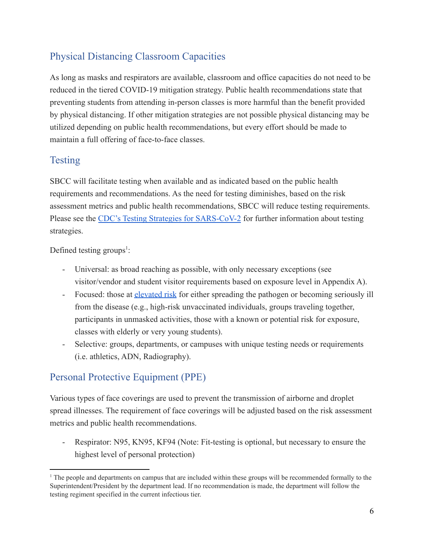# <span id="page-5-0"></span>Physical Distancing Classroom Capacities

As long as masks and respirators are available, classroom and office capacities do not need to be reduced in the tiered COVID-19 mitigation strategy. Public health recommendations state that preventing students from attending in-person classes is more harmful than the benefit provided by physical distancing. If other mitigation strategies are not possible physical distancing may be utilized depending on public health recommendations, but every effort should be made to maintain a full offering of face-to-face classes.

# <span id="page-5-1"></span>Testing

SBCC will facilitate testing when available and as indicated based on the public health requirements and recommendations. As the need for testing diminishes, based on the risk assessment metrics and public health recommendations, SBCC will reduce testing requirements. Please see the [CDC's Testing Strategies for SARS-CoV-2](https://www.cdc.gov/coronavirus/2019-ncov/lab/resources/sars-cov2-testing-strategies.html#:~:text=Public%20health%20surveillance%20testing%20is,not%20linked%20to%20individual%20people.) for further information about testing strategies.

Defined testing groups<sup>1</sup>:

- Universal: as broad reaching as possible, with only necessary exceptions (see visitor/vendor and student visitor requirements based on exposure level in Appendix A).
- Focused: those at [elevated risk](https://www.cdc.gov/coronavirus/2019-ncov/need-extra-precautions/people-with-medical-conditions.html) for either spreading the pathogen or becoming seriously ill from the disease (e.g., high-risk unvaccinated individuals, groups traveling together, participants in unmasked activities, those with a known or potential risk for exposure, classes with elderly or very young students).
- Selective: groups, departments, or campuses with unique testing needs or requirements (i.e. athletics, ADN, Radiography).

## <span id="page-5-2"></span>Personal Protective Equipment (PPE)

Various types of face coverings are used to prevent the transmission of airborne and droplet spread illnesses. The requirement of face coverings will be adjusted based on the risk assessment metrics and public health recommendations.

- Respirator: N95, KN95, KF94 (Note: Fit-testing is optional, but necessary to ensure the highest level of personal protection)

<sup>&</sup>lt;sup>1</sup> The people and departments on campus that are included within these groups will be recommended formally to the Superintendent/President by the department lead. If no recommendation is made, the department will follow the testing regiment specified in the current infectious tier.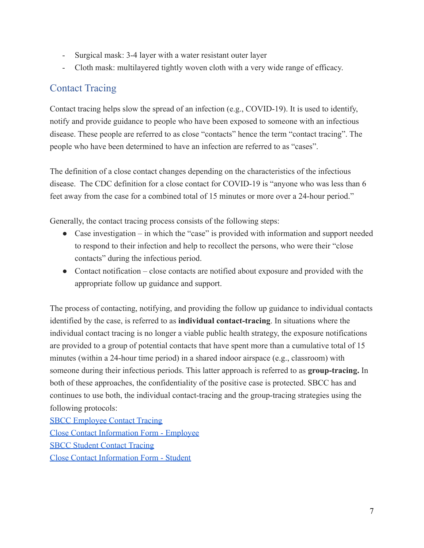- Surgical mask: 3-4 layer with a water resistant outer layer
- Cloth mask: multilayered tightly woven cloth with a very wide range of efficacy.

## <span id="page-6-0"></span>Contact Tracing

Contact tracing helps slow the spread of an infection (e.g., COVID-19). It is used to identify, notify and provide guidance to people who have been exposed to someone with an infectious disease. These people are referred to as close "contacts" hence the term "contact tracing". The people who have been determined to have an infection are referred to as "cases".

The definition of a close contact changes depending on the characteristics of the infectious disease. The CDC definition for a close contact for COVID-19 is "anyone who was less than 6 feet away from the case for a combined total of 15 minutes or more over a 24-hour period."

Generally, the contact tracing process consists of the following steps:

- Case investigation in which the "case" is provided with information and support needed to respond to their infection and help to recollect the persons, who were their "close contacts" during the infectious period.
- Contact notification close contacts are notified about exposure and provided with the appropriate follow up guidance and support.

The process of contacting, notifying, and providing the follow up guidance to individual contacts identified by the case, is referred to as **individual contact-tracing**. In situations where the individual contact tracing is no longer a viable public health strategy, the exposure notifications are provided to a group of potential contacts that have spent more than a cumulative total of 15 minutes (within a 24-hour time period) in a shared indoor airspace (e.g., classroom) with someone during their infectious periods. This latter approach is referred to as **group-tracing.** In both of these approaches, the confidentiality of the positive case is protected. SBCC has and continues to use both, the individual contact-tracing and the group-tracing strategies using the following protocols:

[SBCC Employee Contact Tracing](https://docs.google.com/document/d/1I-rEBeHKtCerifv_VlI9meV9N35iQbyN/edit) [Close Contact Information Form - Employee](https://docs.google.com/document/d/14sEO9R-Wpci3ykxC1xU3N0vkahIY5xOu/edit) [SBCC Student Contact Tracing](https://docs.google.com/document/d/17SO7t6KLX68ooH1XMKgrkOiiMLs7Mm6X/edit#heading=h.gjdgxs) [Close Contact Information Form - Student](https://docs.google.com/document/d/1hse3jF57a-GI-Q1s96LnaiGaZJxDOmMx/edit)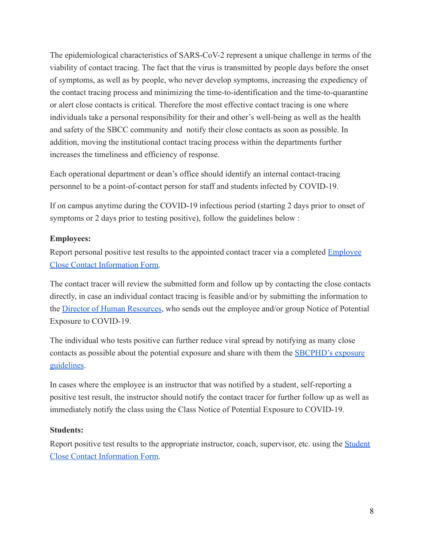The epidemiological characteristics of SARS-CoV-2 represent a unique challenge in terms of the viability of contact tracing. The fact that the virus is transmitted by people days before the onset of symptoms, as well as by people, who never develop symptoms, increasing the expediency of the contact tracing process and minimizing the time-to-identification and the time-to-quarantine or alert close contacts is critical. Therefore the most effective contact tracing is one where individuals take a personal responsibility for their and other's well-being as well as the health and safety of the SBCC community and notify their close contacts as soon as possible. In addition, moving the institutional contact tracing process within the departments further increases the timeliness and efficiency of response.

Each operational department or dean's office should identify an internal contact-tracing personnel to be a point-of-contact person for staff and students infected by COVID-19.

If on campus anytime during the COVID-19 infectious period (starting 2 days prior to onset of symptoms or 2 days prior to testing positive), follow the guidelines below :

#### <span id="page-7-0"></span>**Employees:**

Report personal positive test results to the appointed contact tracer via a completed **[Employee](https://docs.google.com/document/d/14sEO9R-Wpci3ykxC1xU3N0vkahIY5xOu/edit)** [Close Contact Information Form.](https://docs.google.com/document/d/14sEO9R-Wpci3ykxC1xU3N0vkahIY5xOu/edit)

The contact tracer will review the submitted form and follow up by contacting the close contacts directly, in case an individual contact tracing is feasible and/or by submitting the information to the [Director of Human Resources](https://www.sbcc.edu/hr/), who sends out the employee and/or group Notice of Potential Exposure to COVID-19.

The individual who tests positive can further reduce viral spread by notifying as many close contacts as possible about the potential exposure and share with them the [SBCPHD's exposure](https://publichealthsbc.org/dont-feel-well/) [guidelines](https://publichealthsbc.org/dont-feel-well/).

In cases where the employee is an instructor that was notified by a student, self-reporting a positive test result, the instructor should notify the contact tracer for further follow up as well as immediately notify the class using the Class Notice of Potential Exposure to COVID-19.

#### <span id="page-7-1"></span>**Students:**

Report positive test results to the appropriate instructor, coach, supervisor, etc. using the [Student](https://drive.google.com/drive/my-drive) [Close Contact Information Form.](https://drive.google.com/drive/my-drive)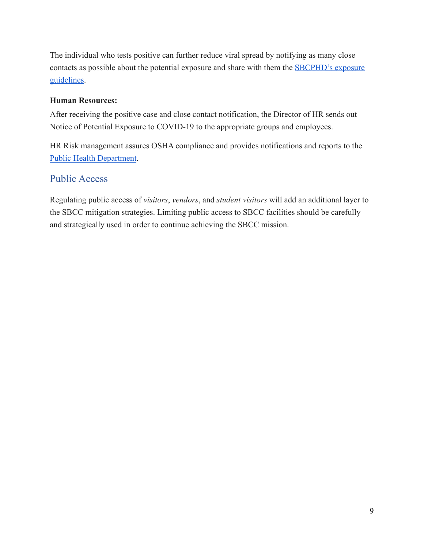The individual who tests positive can further reduce viral spread by notifying as many close contacts as possible about the potential exposure and share with them the [SBCPHD's exposure](https://publichealthsbc.org/dont-feel-well/) [guidelines](https://publichealthsbc.org/dont-feel-well/).

#### <span id="page-8-0"></span>**Human Resources:**

After receiving the positive case and close contact notification, the Director of HR sends out Notice of Potential Exposure to COVID-19 to the appropriate groups and employees.

HR Risk management assures OSHA compliance and provides notifications and reports to the [Public Health Department](https://publichealthsbc.org/outbreak-reporting/).

## <span id="page-8-1"></span>Public Access

Regulating public access of *visitors*, *vendors*, and *student visitors* will add an additional layer to the SBCC mitigation strategies. Limiting public access to SBCC facilities should be carefully and strategically used in order to continue achieving the SBCC mission.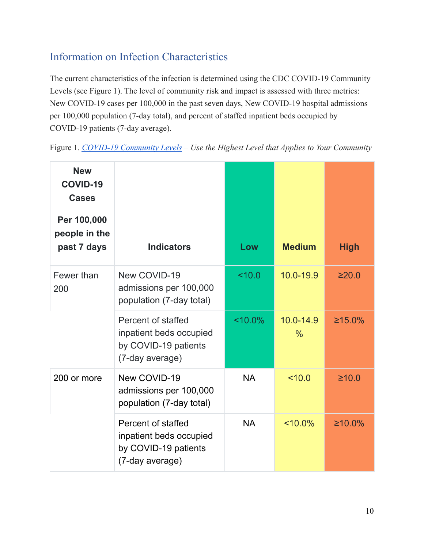# <span id="page-9-0"></span>Information on Infection Characteristics

The current characteristics of the infection is determined using the CDC COVID-19 Community Levels (see Figure 1). The level of community risk and impact is assessed with three metrics: New COVID-19 cases per 100,000 in the past seven days, New COVID-19 hospital admissions per 100,000 population (7-day total), and percent of staffed inpatient beds occupied by COVID-19 patients (7-day average).

| <b>New</b><br><b>COVID-19</b><br><b>Cases</b><br>Per 100,000<br>people in the<br>past 7 days | <b>Indicators</b>                                                                        | Low        | <b>Medium</b>                  | <b>High</b> |
|----------------------------------------------------------------------------------------------|------------------------------------------------------------------------------------------|------------|--------------------------------|-------------|
| Fewer than<br>200                                                                            | New COVID-19<br>admissions per 100,000<br>population (7-day total)                       | 10.0       | 10.0-19.9                      | ≥20.0       |
|                                                                                              | Percent of staffed<br>inpatient beds occupied<br>by COVID-19 patients<br>(7-day average) | $< 10.0\%$ | $10.0 - 14.9$<br>$\frac{0}{0}$ | ≥15.0%      |
| 200 or more                                                                                  | New COVID-19<br>admissions per 100,000<br>population (7-day total)                       | <b>NA</b>  | 10.0                           | $\geq 10.0$ |
|                                                                                              | Percent of staffed<br>inpatient beds occupied<br>by COVID-19 patients<br>(7-day average) | <b>NA</b>  | $~10.0\%$                      | ≥10.0%      |

Figure 1. *[COVID-19 Community Levels](https://www.cdc.gov/coronavirus/2019-ncov/science/community-levels.html#anchor_82254) – Use the Highest Level that Applies to Your Community*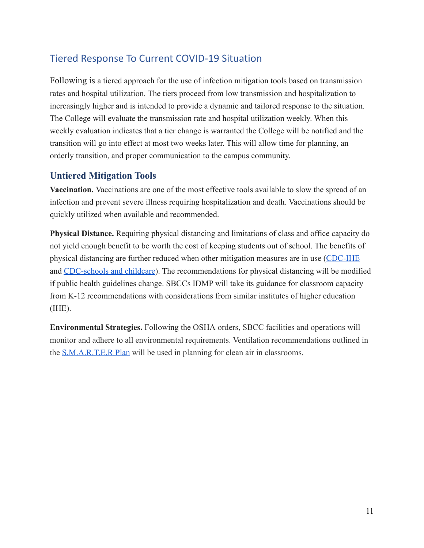## <span id="page-10-0"></span>Tiered Response To Current COVID-19 Situation

Following is a tiered approach for the use of infection mitigation tools based on transmission rates and hospital utilization. The tiers proceed from low transmission and hospitalization to increasingly higher and is intended to provide a dynamic and tailored response to the situation. The College will evaluate the transmission rate and hospital utilization weekly. When this weekly evaluation indicates that a tier change is warranted the College will be notified and the transition will go into effect at most two weeks later. This will allow time for planning, an orderly transition, and proper communication to the campus community.

#### <span id="page-10-1"></span>**Untiered Mitigation Tools**

**Vaccination.** Vaccinations are one of the most effective tools available to slow the spread of an infection and prevent severe illness requiring hospitalization and death. Vaccinations should be quickly utilized when available and recommended.

**Physical Distance.** Requiring physical distancing and limitations of class and office capacity do not yield enough benefit to be worth the cost of keeping students out of school. The benefits of physical distancing are further reduced when other mitigation measures are in use ([CDC-IHE](https://www.cdc.gov/coronavirus/2019-ncov/community/colleges-universities/considerations.html) and [CDC-schools and childcare](https://www.cdc.gov/coronavirus/2019-ncov/community/schools-childcare/k-12-guidance.html)). The recommendations for physical distancing will be modified if public health guidelines change. SBCCs IDMP will take its guidance for classroom capacity from K-12 recommendations with considerations from similar institutes of higher education (IHE).

**Environmental Strategies.** Following the OSHA orders, SBCC facilities and operations will monitor and adhere to all environmental requirements. Ventilation recommendations outlined in the [S.M.A.R.T.E.R Plan](https://files.covid19.ca.gov/pdf/smarterplan.pdf) will be used in planning for clean air in classrooms.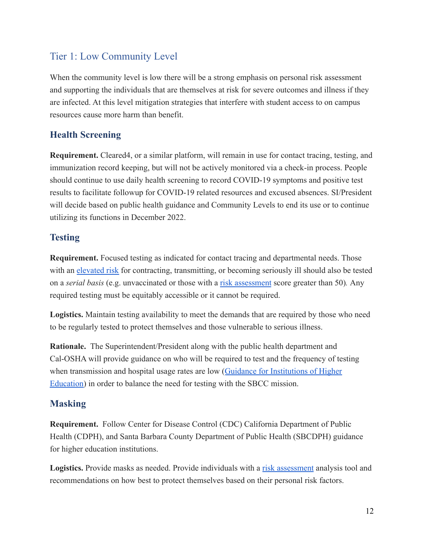## <span id="page-11-0"></span>Tier 1: Low Community Level

When the community level is low there will be a strong emphasis on personal risk assessment and supporting the individuals that are themselves at risk for severe outcomes and illness if they are infected. At this level mitigation strategies that interfere with student access to on campus resources cause more harm than benefit.

## <span id="page-11-1"></span>**Health Screening**

**Requirement.** Cleared4, or a similar platform, will remain in use for contact tracing, testing, and immunization record keeping, but will not be actively monitored via a check-in process. People should continue to use daily health screening to record COVID-19 symptoms and positive test results to facilitate followup for COVID-19 related resources and excused absences. SI/President will decide based on public health guidance and Community Levels to end its use or to continue utilizing its functions in December 2022.

#### <span id="page-11-2"></span>**Testing**

**Requirement.** Focused testing as indicated for contact tracing and departmental needs. Those with an [elevated risk](https://www.cdc.gov/coronavirus/2019-ncov/need-extra-precautions/people-with-medical-conditions.html) for contracting, transmitting, or becoming seriously ill should also be tested on a *serial basis* (e.g. unvaccinated or those with a [risk assessment](https://19andme.covid19.mathematica.org/) score greater than 50)*.* Any required testing must be equitably accessible or it cannot be required.

**Logistics.** Maintain testing availability to meet the demands that are required by those who need to be regularly tested to protect themselves and those vulnerable to serious illness.

**Rationale.** The Superintendent/President along with the public health department and Cal-OSHA will provide guidance on who will be required to test and the frequency of testing when transmission and hospital usage rates are low ([Guidance for Institutions of Higher](https://www.cdc.gov/coronavirus/2019-ncov/community/colleges-universities/considerations.html#anchor_1643909243224) [Education\)](https://www.cdc.gov/coronavirus/2019-ncov/community/colleges-universities/considerations.html#anchor_1643909243224) in order to balance the need for testing with the SBCC mission.

### <span id="page-11-3"></span>**Masking**

**Requirement.** Follow Center for Disease Control (CDC) California Department of Public Health (CDPH), and Santa Barbara County Department of Public Health (SBCDPH) guidance for higher education institutions.

Logistics. Provide masks as needed. Provide individuals with a [risk assessment](https://19andme.covid19.mathematica.org/) analysis tool and recommendations on how best to protect themselves based on their personal risk factors.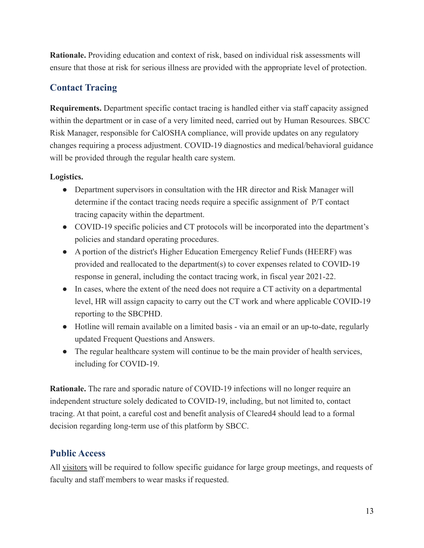**Rationale.** Providing education and context of risk, based on individual risk assessments will ensure that those at risk for serious illness are provided with the appropriate level of protection.

## <span id="page-12-0"></span>**Contact Tracing**

**Requirements.** Department specific contact tracing is handled either via staff capacity assigned within the department or in case of a very limited need, carried out by Human Resources. SBCC Risk Manager, responsible for CalOSHA compliance, will provide updates on any regulatory changes requiring a process adjustment. COVID-19 diagnostics and medical/behavioral guidance will be provided through the regular health care system.

#### **Logistics.**

- Department supervisors in consultation with the HR director and Risk Manager will determine if the contact tracing needs require a specific assignment of P/T contact tracing capacity within the department.
- COVID-19 specific policies and CT protocols will be incorporated into the department's policies and standard operating procedures.
- A portion of the district's Higher Education Emergency Relief Funds (HEERF) was provided and reallocated to the department(s) to cover expenses related to COVID-19 response in general, including the contact tracing work, in fiscal year 2021-22.
- In cases, where the extent of the need does not require a CT activity on a departmental level, HR will assign capacity to carry out the CT work and where applicable COVID-19 reporting to the SBCPHD.
- Hotline will remain available on a limited basis via an email or an up-to-date, regularly updated Frequent Questions and Answers.
- The regular healthcare system will continue to be the main provider of health services, including for COVID-19.

**Rationale.** The rare and sporadic nature of COVID-19 infections will no longer require an independent structure solely dedicated to COVID-19, including, but not limited to, contact tracing. At that point, a careful cost and benefit analysis of Cleared4 should lead to a formal decision regarding long-term use of this platform by SBCC.

#### <span id="page-12-1"></span>**Public Access**

All visitors will be required to follow specific guidance for large group meetings, and requests of faculty and staff members to wear masks if requested.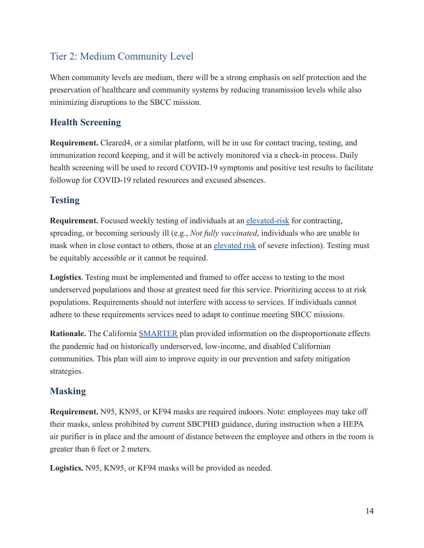## <span id="page-13-0"></span>Tier 2: Medium Community Level

When community levels are medium, there will be a strong emphasis on self protection and the preservation of healthcare and community systems by reducing transmission levels while also minimizing disruptions to the SBCC mission.

## <span id="page-13-1"></span>**Health Screening**

**Requirement.** Cleared4, or a similar platform, will be in use for contact tracing, testing, and immunization record keeping, and it will be actively monitored via a check-in process. Daily health screening will be used to record COVID-19 symptoms and positive test results to facilitate followup for COVID-19 related resources and excused absences.

### <span id="page-13-2"></span>**Testing**

**Requirement.** Focused weekly testing of individuals at an [elevated-risk](https://www.cdc.gov/coronavirus/2019-ncov/need-extra-precautions/people-with-medical-conditions.html) for contracting, spreading, or becoming seriously ill (e.g., *Not fully vaccinated*, individuals who are unable to mask when in close contact to others, those at an [elevated risk](https://www.cdc.gov/coronavirus/2019-ncov/need-extra-precautions/people-with-medical-conditions.html) of severe infection). Testing must be equitably accessible or it cannot be required.

**Logistics**. Testing must be implemented and framed to offer access to testing to the most underserved populations and those at greatest need for this service. Prioritizing access to at risk populations. Requirements should not interfere with access to services. If individuals cannot adhere to these requirements services need to adapt to continue meeting SBCC missions.

**Rationale.** The California [SMARTER](https://files.covid19.ca.gov/pdf/smarterplan.pdf) plan provided information on the disproportionate effects the pandemic had on historically underserved, low-income, and disabled Californian communities. This plan will aim to improve equity in our prevention and safety mitigation strategies.

### <span id="page-13-3"></span>**Masking**

**Requirement.** N95, KN95, or KF94 masks are required indoors. Note: employees may take off their masks, unless prohibited by current SBCPHD guidance, during instruction when a HEPA air purifier is in place and the amount of distance between the employee and others in the room is greater than 6 feet or 2 meters.

**Logistics.** N95, KN95, or KF94 masks will be provided as needed.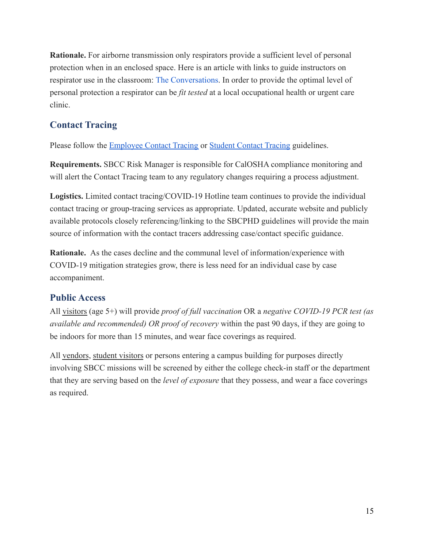**Rationale.** For airborne transmission only respirators provide a sufficient level of personal protection when in an enclosed space. Here is an article with links to guide instructors on respirator use in the classroom: [The Conversations](https://theconversation.com/time-to-upgrade-from-cloth-and-surgical-masks-to-respirators-your-questions-answered-174877). In order to provide the optimal level of personal protection a respirator can be *fit tested* at a local occupational health or urgent care clinic.

## <span id="page-14-0"></span>**Contact Tracing**

Please follow the **[Employee Contact Tracing](https://docs.google.com/document/d/1I-rEBeHKtCerifv_VlI9meV9N35iQbyN/edit) or Student [Contact Tracing](https://docs.google.com/document/d/17SO7t6KLX68ooH1XMKgrkOiiMLs7Mm6X/edit) guidelines.** 

**Requirements.** SBCC Risk Manager is responsible for CalOSHA compliance monitoring and will alert the Contact Tracing team to any regulatory changes requiring a process adjustment.

**Logistics.** Limited contact tracing/COVID-19 Hotline team continues to provide the individual contact tracing or group-tracing services as appropriate. Updated, accurate website and publicly available protocols closely referencing/linking to the SBCPHD guidelines will provide the main source of information with the contact tracers addressing case/contact specific guidance.

**Rationale.** As the cases decline and the communal level of information/experience with COVID-19 mitigation strategies grow, there is less need for an individual case by case accompaniment.

### <span id="page-14-1"></span>**Public Access**

All visitors (age 5+) will provide *proof of full vaccination* OR a *negative COVID-19 PCR test (as available and recommended) OR proof of recovery* within the past 90 days, if they are going to be indoors for more than 15 minutes, and wear face coverings as required.

All vendors, student visitors or persons entering a campus building for purposes directly involving SBCC missions will be screened by either the college check-in staff or the department that they are serving based on the *level of exposure* that they possess, and wear a face coverings as required.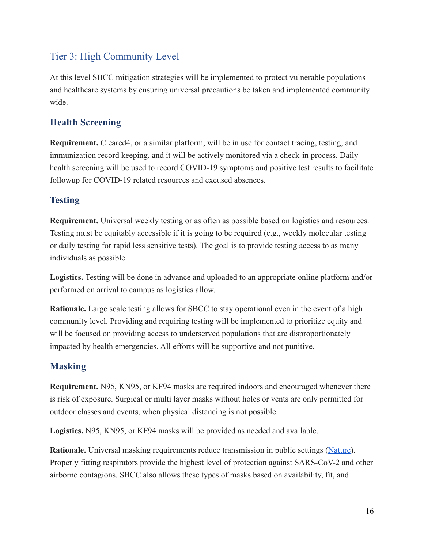# <span id="page-15-0"></span>Tier 3: High Community Level

At this level SBCC mitigation strategies will be implemented to protect vulnerable populations and healthcare systems by ensuring universal precautions be taken and implemented community wide.

### <span id="page-15-1"></span>**Health Screening**

**Requirement.** Cleared4, or a similar platform, will be in use for contact tracing, testing, and immunization record keeping, and it will be actively monitored via a check-in process. Daily health screening will be used to record COVID-19 symptoms and positive test results to facilitate followup for COVID-19 related resources and excused absences.

### <span id="page-15-2"></span>**Testing**

**Requirement.** Universal weekly testing or as often as possible based on logistics and resources. Testing must be equitably accessible if it is going to be required (e.g., weekly molecular testing or daily testing for rapid less sensitive tests). The goal is to provide testing access to as many individuals as possible.

**Logistics.** Testing will be done in advance and uploaded to an appropriate online platform and/or performed on arrival to campus as logistics allow.

**Rationale.** Large scale testing allows for SBCC to stay operational even in the event of a high community level. Providing and requiring testing will be implemented to prioritize equity and will be focused on providing access to underserved populations that are disproportionately impacted by health emergencies. All efforts will be supportive and not punitive.

### <span id="page-15-3"></span>**Masking**

**Requirement.** N95, KN95, or KF94 masks are required indoors and encouraged whenever there is risk of exposure. Surgical or multi layer masks without holes or vents are only permitted for outdoor classes and events, when physical distancing is not possible.

**Logistics.** N95, KN95, or KF94 masks will be provided as needed and available.

**Rationale.** Universal masking requirements reduce transmission in public settings ([Nature\)](https://www.nature.com/articles/s41398-022-01814-3). Properly fitting respirators provide the highest level of protection against SARS-CoV-2 and other airborne contagions. SBCC also allows these types of masks based on availability, fit, and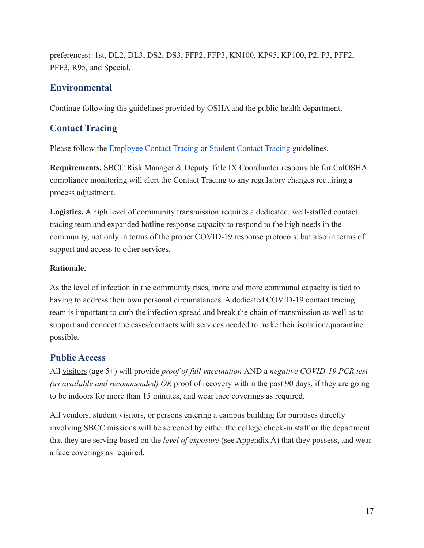preferences: 1st, DL2, DL3, DS2, DS3, FFP2, FFP3, KN100, KP95, KP100, P2, P3, PFF2, PFF3, R95, and Special.

#### <span id="page-16-0"></span>**Environmental**

Continue following the guidelines provided by OSHA and the public health department.

#### <span id="page-16-1"></span>**Contact Tracing**

Please follow the [Employee Contact Tracing](https://docs.google.com/document/d/1I-rEBeHKtCerifv_VlI9meV9N35iQbyN/edit) or Student [Contact Tracing](https://docs.google.com/document/d/17SO7t6KLX68ooH1XMKgrkOiiMLs7Mm6X/edit) guidelines.

**Requirements.** SBCC Risk Manager & Deputy Title IX Coordinator responsible for CalOSHA compliance monitoring will alert the Contact Tracing to any regulatory changes requiring a process adjustment.

**Logistics.** A high level of community transmission requires a dedicated, well-staffed contact tracing team and expanded hotline response capacity to respond to the high needs in the community, not only in terms of the proper COVID-19 response protocols, but also in terms of support and access to other services.

#### **Rationale.**

As the level of infection in the community rises, more and more communal capacity is tied to having to address their own personal circumstances. A dedicated COVID-19 contact tracing team is important to curb the infection spread and break the chain of transmission as well as to support and connect the cases/contacts with services needed to make their isolation/quarantine possible.

#### <span id="page-16-2"></span>**Public Access**

All visitors (age 5+) will provide *proof of full vaccination* AND a *negative COVID-19 PCR test (as available and recommended) OR* proof of recovery within the past 90 days, if they are going to be indoors for more than 15 minutes, and wear face coverings as required.

All vendors, student visitors, or persons entering a campus building for purposes directly involving SBCC missions will be screened by either the college check-in staff or the department that they are serving based on the *level of exposure* (see Appendix A) that they possess, and wear a face coverings as required.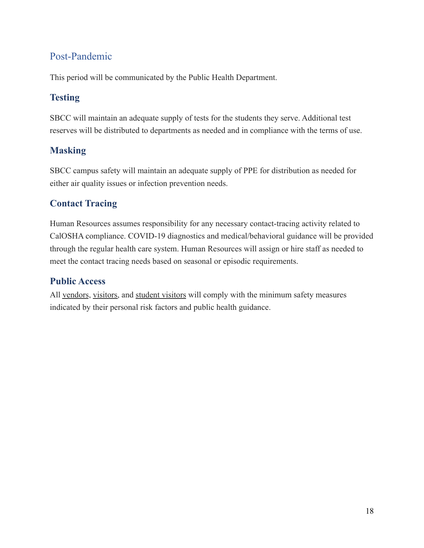## <span id="page-17-0"></span>Post-Pandemic

This period will be communicated by the Public Health Department.

## <span id="page-17-1"></span>**Testing**

SBCC will maintain an adequate supply of tests for the students they serve. Additional test reserves will be distributed to departments as needed and in compliance with the terms of use.

### <span id="page-17-2"></span>**Masking**

SBCC campus safety will maintain an adequate supply of PPE for distribution as needed for either air quality issues or infection prevention needs.

## <span id="page-17-3"></span>**Contact Tracing**

Human Resources assumes responsibility for any necessary contact-tracing activity related to CalOSHA compliance. COVID-19 diagnostics and medical/behavioral guidance will be provided through the regular health care system. Human Resources will assign or hire staff as needed to meet the contact tracing needs based on seasonal or episodic requirements.

#### <span id="page-17-4"></span>**Public Access**

All vendors, visitors, and student visitors will comply with the minimum safety measures indicated by their personal risk factors and public health guidance.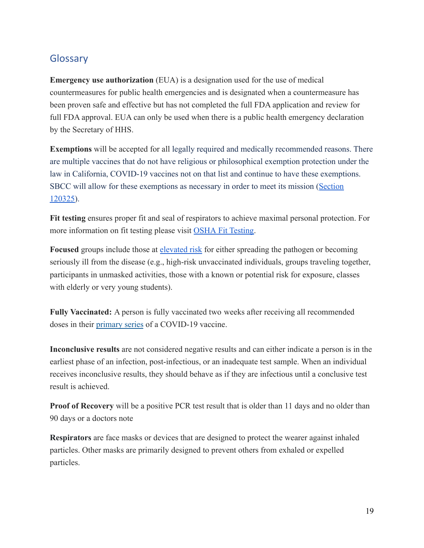## <span id="page-18-0"></span>**Glossary**

**Emergency use authorization** (EUA) is a designation used for the use of medical countermeasures for public health emergencies and is designated when a countermeasure has been proven safe and effective but has not completed the full FDA application and review for full FDA approval. EUA can only be used when there is a public health emergency declaration by the Secretary of HHS.

**Exemptions** will be accepted for all legally required and medically recommended reasons. There are multiple vaccines that do not have religious or philosophical exemption protection under the law in California, COVID-19 vaccines not on that list and continue to have these exemptions. SBCC will allow for these exemptions as necessary in order to meet its mission ([Section](https://leginfo.legislature.ca.gov/faces/codes_displayText.xhtml?lawCode=HSC&division=105.&title=&part=2.&chapter=1.&article) [120325](https://leginfo.legislature.ca.gov/faces/codes_displayText.xhtml?lawCode=HSC&division=105.&title=&part=2.&chapter=1.&article)).

**Fit testing** ensures proper fit and seal of respirators to achieve maximal personal protection. For more information on fit testing please visit OSHA [Fit Testing.](https://www.osha.gov/laws-regs/regulations/standardnumber/1910/1910.134AppA)

**Focused** groups include those at [elevated risk](https://www.cdc.gov/coronavirus/2019-ncov/need-extra-precautions/people-with-medical-conditions.html) for either spreading the pathogen or becoming seriously ill from the disease (e.g., high-risk unvaccinated individuals, groups traveling together, participants in unmasked activities, those with a known or potential risk for exposure, classes with elderly or very young students).

**Fully Vaccinated:** A person is fully vaccinated two weeks after receiving all recommended doses in their [primary series](https://www.cdc.gov/coronavirus/2019-ncov/vaccines/stay-up-to-date.html#primaryseries) of a COVID-19 vaccine.

**Inconclusive results** are not considered negative results and can either indicate a person is in the earliest phase of an infection, post-infectious, or an inadequate test sample. When an individual receives inconclusive results, they should behave as if they are infectious until a conclusive test result is achieved.

**Proof of Recovery** will be a positive PCR test result that is older than 11 days and no older than 90 days or a doctors note

**[Respirators](https://www.merriam-webster.com/dictionary/respirator)** are face masks or devices that are designed to protect the wearer against inhaled particles. Other masks are primarily designed to prevent others from exhaled or expelled particles.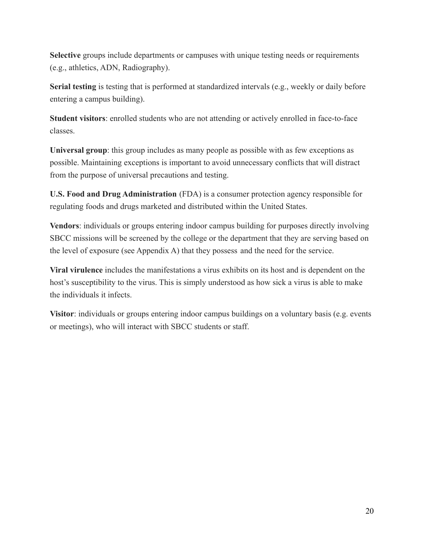**Selective** groups include departments or campuses with unique testing needs or requirements (e.g., athletics, ADN, Radiography).

**Serial testing** is testing that is performed at standardized intervals (e.g., weekly or daily before entering a campus building).

**Student visitors**: enrolled students who are not attending or actively enrolled in face-to-face classes.

**Universal group**: this group includes as many people as possible with as few exceptions as possible. Maintaining exceptions is important to avoid unnecessary conflicts that will distract from the purpose of universal precautions and testing.

**U.S. Food and Drug Administration** (FDA) is a consumer protection agency responsible for regulating foods and drugs marketed and distributed within the United States.

**Vendors**: individuals or groups entering indoor campus building for purposes directly involving SBCC missions will be screened by the college or the department that they are serving based on the level of exposure (see Appendix A) that they possess and the need for the service.

**Viral virulence** includes the manifestations a virus exhibits on its host and is dependent on the host's susceptibility to the virus. This is simply understood as how sick a virus is able to make the individuals it infects.

**Visitor**: individuals or groups entering indoor campus buildings on a voluntary basis (e.g. events or meetings), who will interact with SBCC students or staff.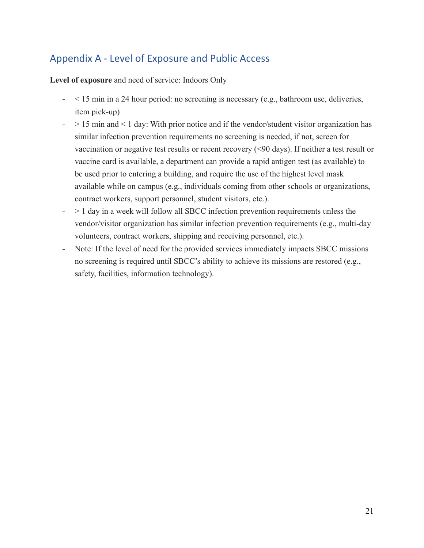## <span id="page-20-0"></span>Appendix A - Level of Exposure and Public Access

**Level of exposure** and need of service: Indoors Only

- < 15 min in a 24 hour period: no screening is necessary (e.g., bathroom use, deliveries, item pick-up)
- $-$  > 15 min and < 1 day: With prior notice and if the vendor/student visitor organization has similar infection prevention requirements no screening is needed, if not, screen for vaccination or negative test results or recent recovery (<90 days). If neither a test result or vaccine card is available, a department can provide a rapid antigen test (as available) to be used prior to entering a building, and require the use of the highest level mask available while on campus (e.g., individuals coming from other schools or organizations, contract workers, support personnel, student visitors, etc.).
- > 1 day in a week will follow all SBCC infection prevention requirements unless the vendor/visitor organization has similar infection prevention requirements (e.g., multi-day volunteers, contract workers, shipping and receiving personnel, etc.).
- Note: If the level of need for the provided services immediately impacts SBCC missions no screening is required until SBCC's ability to achieve its missions are restored (e.g., safety, facilities, information technology).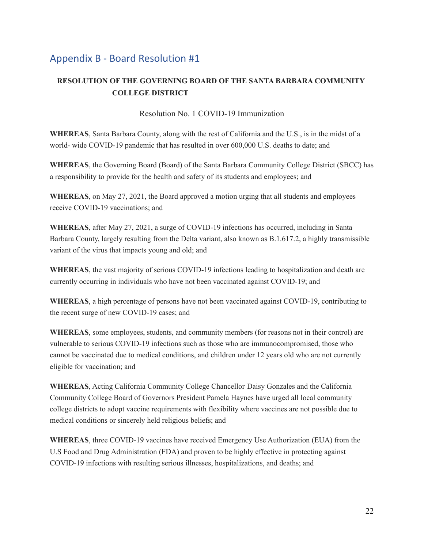## <span id="page-21-0"></span>Appendix B - Board Resolution #1

#### **RESOLUTION OF THE GOVERNING BOARD OF THE SANTA BARBARA COMMUNITY COLLEGE DISTRICT**

#### Resolution No. 1 COVID-19 Immunization

**WHEREAS**, Santa Barbara County, along with the rest of California and the U.S., is in the midst of a world- wide COVID-19 pandemic that has resulted in over 600,000 U.S. deaths to date; and

**WHEREAS**, the Governing Board (Board) of the Santa Barbara Community College District (SBCC) has a responsibility to provide for the health and safety of its students and employees; and

**WHEREAS**, on May 27, 2021, the Board approved a motion urging that all students and employees receive COVID-19 vaccinations; and

**WHEREAS**, after May 27, 2021, a surge of COVID-19 infections has occurred, including in Santa Barbara County, largely resulting from the Delta variant, also known as B.1.617.2, a highly transmissible variant of the virus that impacts young and old; and

**WHEREAS**, the vast majority of serious COVID-19 infections leading to hospitalization and death are currently occurring in individuals who have not been vaccinated against COVID-19; and

**WHEREAS**, a high percentage of persons have not been vaccinated against COVID-19, contributing to the recent surge of new COVID-19 cases; and

**WHEREAS**, some employees, students, and community members (for reasons not in their control) are vulnerable to serious COVID-19 infections such as those who are immunocompromised, those who cannot be vaccinated due to medical conditions, and children under 12 years old who are not currently eligible for vaccination; and

**WHEREAS**, Acting California Community College Chancellor Daisy Gonzales and the California Community College Board of Governors President Pamela Haynes have urged all local community college districts to adopt vaccine requirements with flexibility where vaccines are not possible due to medical conditions or sincerely held religious beliefs; and

**WHEREAS**, three COVID-19 vaccines have received Emergency Use Authorization (EUA) from the U.S Food and Drug Administration (FDA) and proven to be highly effective in protecting against COVID-19 infections with resulting serious illnesses, hospitalizations, and deaths; and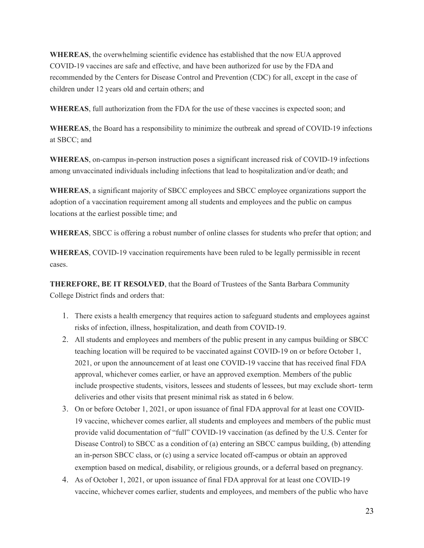**WHEREAS**, the overwhelming scientific evidence has established that the now EUA approved COVID-19 vaccines are safe and effective, and have been authorized for use by the FDA and recommended by the Centers for Disease Control and Prevention (CDC) for all, except in the case of children under 12 years old and certain others; and

**WHEREAS**, full authorization from the FDA for the use of these vaccines is expected soon; and

**WHEREAS**, the Board has a responsibility to minimize the outbreak and spread of COVID-19 infections at SBCC; and

**WHEREAS**, on-campus in-person instruction poses a significant increased risk of COVID-19 infections among unvaccinated individuals including infections that lead to hospitalization and/or death; and

**WHEREAS**, a significant majority of SBCC employees and SBCC employee organizations support the adoption of a vaccination requirement among all students and employees and the public on campus locations at the earliest possible time; and

**WHEREAS**, SBCC is offering a robust number of online classes for students who prefer that option; and

**WHEREAS**, COVID-19 vaccination requirements have been ruled to be legally permissible in recent cases.

**THEREFORE, BE IT RESOLVED**, that the Board of Trustees of the Santa Barbara Community College District finds and orders that:

- 1. There exists a health emergency that requires action to safeguard students and employees against risks of infection, illness, hospitalization, and death from COVID-19.
- 2. All students and employees and members of the public present in any campus building or SBCC teaching location will be required to be vaccinated against COVID-19 on or before October 1, 2021, or upon the announcement of at least one COVID-19 vaccine that has received final FDA approval, whichever comes earlier, or have an approved exemption. Members of the public include prospective students, visitors, lessees and students of lessees, but may exclude short- term deliveries and other visits that present minimal risk as stated in 6 below.
- 3. On or before October 1, 2021, or upon issuance of final FDA approval for at least one COVID-19 vaccine, whichever comes earlier, all students and employees and members of the public must provide valid documentation of "full" COVID-19 vaccination (as defined by the U.S. Center for Disease Control) to SBCC as a condition of (a) entering an SBCC campus building, (b) attending an in-person SBCC class, or (c) using a service located off-campus or obtain an approved exemption based on medical, disability, or religious grounds, or a deferral based on pregnancy.
- 4. As of October 1, 2021, or upon issuance of final FDA approval for at least one COVID-19 vaccine, whichever comes earlier, students and employees, and members of the public who have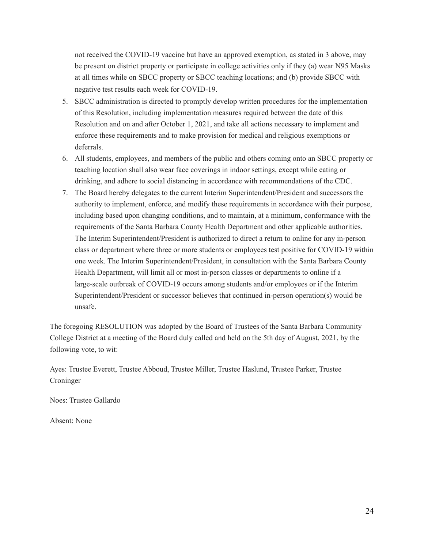not received the COVID-19 vaccine but have an approved exemption, as stated in 3 above, may be present on district property or participate in college activities only if they (a) wear N95 Masks at all times while on SBCC property or SBCC teaching locations; and (b) provide SBCC with negative test results each week for COVID-19.

- 5. SBCC administration is directed to promptly develop written procedures for the implementation of this Resolution, including implementation measures required between the date of this Resolution and on and after October 1, 2021, and take all actions necessary to implement and enforce these requirements and to make provision for medical and religious exemptions or deferrals.
- 6. All students, employees, and members of the public and others coming onto an SBCC property or teaching location shall also wear face coverings in indoor settings, except while eating or drinking, and adhere to social distancing in accordance with recommendations of the CDC.
- 7. The Board hereby delegates to the current Interim Superintendent/President and successors the authority to implement, enforce, and modify these requirements in accordance with their purpose, including based upon changing conditions, and to maintain, at a minimum, conformance with the requirements of the Santa Barbara County Health Department and other applicable authorities. The Interim Superintendent/President is authorized to direct a return to online for any in-person class or department where three or more students or employees test positive for COVID-19 within one week. The Interim Superintendent/President, in consultation with the Santa Barbara County Health Department, will limit all or most in-person classes or departments to online if a large-scale outbreak of COVID-19 occurs among students and/or employees or if the Interim Superintendent/President or successor believes that continued in-person operation(s) would be unsafe.

The foregoing RESOLUTION was adopted by the Board of Trustees of the Santa Barbara Community College District at a meeting of the Board duly called and held on the 5th day of August, 2021, by the following vote, to wit:

Ayes: Trustee Everett, Trustee Abboud, Trustee Miller, Trustee Haslund, Trustee Parker, Trustee Croninger

Noes: Trustee Gallardo

Absent: None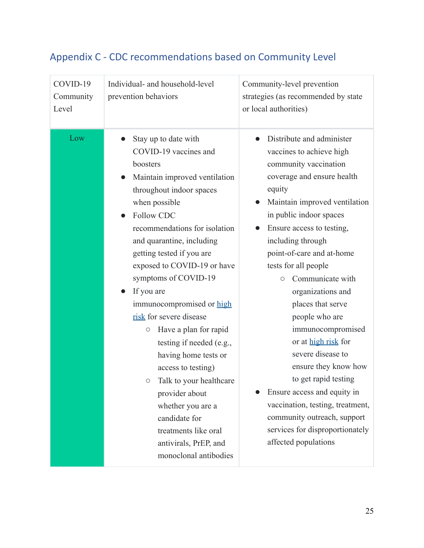| COVID-19<br>Community<br>Level | Individual- and household-level<br>prevention behaviors                                                                                                                                                                                                                                                                                                                                                                                                                                                                                                                                                                                                                       | Community-level prevention<br>strategies (as recommended by state<br>or local authorities)                                                                                                                                                                                                                                                                                                                                                                                                                                                                                                                                                                         |
|--------------------------------|-------------------------------------------------------------------------------------------------------------------------------------------------------------------------------------------------------------------------------------------------------------------------------------------------------------------------------------------------------------------------------------------------------------------------------------------------------------------------------------------------------------------------------------------------------------------------------------------------------------------------------------------------------------------------------|--------------------------------------------------------------------------------------------------------------------------------------------------------------------------------------------------------------------------------------------------------------------------------------------------------------------------------------------------------------------------------------------------------------------------------------------------------------------------------------------------------------------------------------------------------------------------------------------------------------------------------------------------------------------|
| Low                            | Stay up to date with<br>COVID-19 vaccines and<br>boosters<br>Maintain improved ventilation<br>throughout indoor spaces<br>when possible<br><b>Follow CDC</b><br>recommendations for isolation<br>and quarantine, including<br>getting tested if you are<br>exposed to COVID-19 or have<br>symptoms of COVID-19<br>If you are<br>immunocompromised or high<br>risk for severe disease<br>Have a plan for rapid<br>$\bigcirc$<br>testing if needed (e.g.,<br>having home tests or<br>access to testing)<br>Talk to your healthcare<br>$\circ$<br>provider about<br>whether you are a<br>candidate for<br>treatments like oral<br>antivirals, PrEP, and<br>monoclonal antibodies | Distribute and administer<br>vaccines to achieve high<br>community vaccination<br>coverage and ensure health<br>equity<br>Maintain improved ventilation<br>in public indoor spaces<br>Ensure access to testing,<br>including through<br>point-of-care and at-home<br>tests for all people<br>Communicate with<br>$\circ$<br>organizations and<br>places that serve<br>people who are<br>immunocompromised<br>or at high risk for<br>severe disease to<br>ensure they know how<br>to get rapid testing<br>Ensure access and equity in<br>vaccination, testing, treatment,<br>community outreach, support<br>services for disproportionately<br>affected populations |

# <span id="page-24-0"></span>Appendix C - CDC recommendations based on Community Level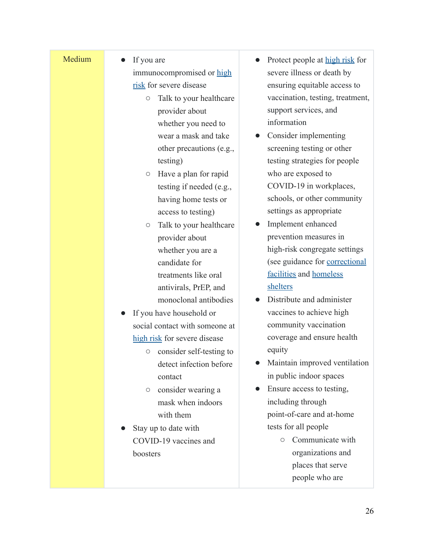| Medium | If you are<br>immunocompromised or high<br>risk for severe disease<br>Talk to your healthcare<br>$\bigcirc$<br>provider about<br>whether you need to<br>wear a mask and take<br>other precautions (e.g.,<br>testing)<br>Have a plan for rapid<br>$\bigcirc$<br>testing if needed (e.g.,<br>having home tests or<br>access to testing)<br>Talk to your healthcare<br>$\bigcirc$<br>provider about<br>whether you are a<br>candidate for<br>treatments like oral<br>antivirals, PrEP, and<br>monoclonal antibodies<br>If you have household or<br>social contact with someone at<br>high risk for severe disease<br>consider self-testing to<br>$\bigcirc$<br>detect infection before<br>contact<br>consider wearing a<br>$\bigcirc$<br>mask when indoors<br>with them<br>Stay up to date with<br>COVID-19 vaccines and | Protect people at high risk for<br>severe illness or death by<br>ensuring equitable access to<br>vaccination, testing, treatment,<br>support services, and<br>information<br>Consider implementing<br>screening testing or other<br>testing strategies for people<br>who are exposed to<br>COVID-19 in workplaces,<br>schools, or other community<br>settings as appropriate<br>Implement enhanced<br>prevention measures in<br>high-risk congregate settings<br>(see guidance for correctional<br>facilities and homeless<br>shelters<br>Distribute and administer<br>vaccines to achieve high<br>community vaccination<br>coverage and ensure health<br>equity<br>Maintain improved ventilation<br>in public indoor spaces<br>Ensure access to testing,<br>including through<br>point-of-care and at-home<br>tests for all people<br>Communicate with<br>$\circ$ |
|--------|-----------------------------------------------------------------------------------------------------------------------------------------------------------------------------------------------------------------------------------------------------------------------------------------------------------------------------------------------------------------------------------------------------------------------------------------------------------------------------------------------------------------------------------------------------------------------------------------------------------------------------------------------------------------------------------------------------------------------------------------------------------------------------------------------------------------------|--------------------------------------------------------------------------------------------------------------------------------------------------------------------------------------------------------------------------------------------------------------------------------------------------------------------------------------------------------------------------------------------------------------------------------------------------------------------------------------------------------------------------------------------------------------------------------------------------------------------------------------------------------------------------------------------------------------------------------------------------------------------------------------------------------------------------------------------------------------------|
|        | boosters                                                                                                                                                                                                                                                                                                                                                                                                                                                                                                                                                                                                                                                                                                                                                                                                              | organizations and                                                                                                                                                                                                                                                                                                                                                                                                                                                                                                                                                                                                                                                                                                                                                                                                                                                  |
|        |                                                                                                                                                                                                                                                                                                                                                                                                                                                                                                                                                                                                                                                                                                                                                                                                                       | places that serve<br>people who are                                                                                                                                                                                                                                                                                                                                                                                                                                                                                                                                                                                                                                                                                                                                                                                                                                |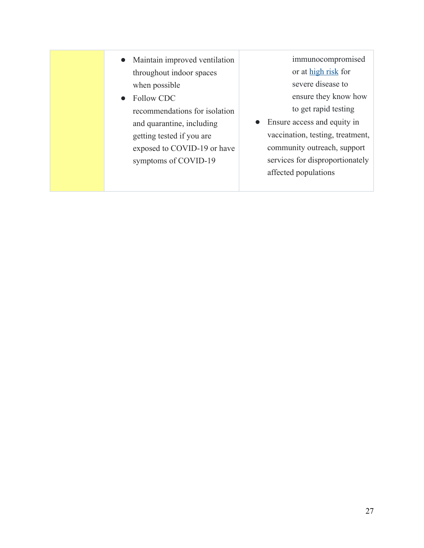- Maintain improved ventilation throughout indoor spaces when possible
- Follow CDC recommendations for isolation and quarantine, including getting tested if you are exposed to COVID-19 or have symptoms of COVID-19

immunocompromised or at [high risk](https://www.cdc.gov/coronavirus/2019-ncov/need-extra-precautions/people-with-medical-conditions.html) for severe disease to ensure they know how to get rapid testing

● Ensure access and equity in vaccination, testing, treatment, community outreach, support services for disproportionately affected populations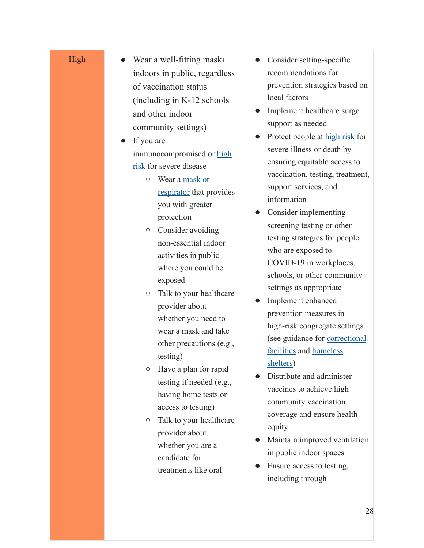#### High

- Wear a well-fitting mask indoors in public, regardless of vaccination status (including in K-12 schools and other indoor community settings)
- If you are immunocompromised or [high](https://www.cdc.gov/coronavirus/2019-ncov/need-extra-precautions/people-with-medical-conditions.html) [risk](https://www.cdc.gov/coronavirus/2019-ncov/need-extra-precautions/people-with-medical-conditions.html) for severe disease
	- Wear a [mask or](https://www.cdc.gov/coronavirus/2019-ncov/prevent-getting-sick/types-of-masks.html) [respirator](https://www.cdc.gov/coronavirus/2019-ncov/prevent-getting-sick/types-of-masks.html) that provides you with greater protection
	- Consider avoiding non-essential indoor activities in public where you could be exposed
	- Talk to your healthcare provider about whether you need to wear a mask and take other precautions (e.g., testing)
	- Have a plan for rapid testing if needed (e.g., having home tests or access to testing)
	- Talk to your healthcare provider about whether you are a candidate for treatments like oral
- Consider setting-specific recommendations for prevention strategies based on local factors
- Implement healthcare surge support as needed
- Protect people at [high risk](https://www.cdc.gov/coronavirus/2019-ncov/need-extra-precautions/people-with-medical-conditions.html) for severe illness or death by ensuring equitable access to vaccination, testing, treatment, support services, and information
- Consider implementing screening testing or other testing strategies for people who are exposed to COVID-19 in workplaces, schools, or other community settings as appropriate
- Implement enhanced prevention measures in high-risk congregate settings (see guidance for [correctional](https://www.cdc.gov/coronavirus/2019-ncov/community/correction-detention/guidance-correctional-detention.html) [facilities](https://www.cdc.gov/coronavirus/2019-ncov/community/correction-detention/guidance-correctional-detention.html) and [homeless](https://www.cdc.gov/coronavirus/2019-ncov/community/homeless-shelters/plan-prepare-respond.html) [shelters](https://www.cdc.gov/coronavirus/2019-ncov/community/homeless-shelters/plan-prepare-respond.html) )
- Distribute and administer vaccines to achieve high community vaccination coverage and ensure health equity
- Maintain improved ventilation in public indoor spaces
- Ensure access to testing, including through